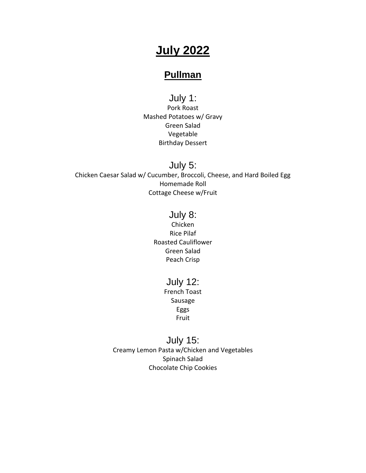# **July 2022**

# **Pullman**

July 1: Pork Roast Mashed Potatoes w/ Gravy Green Salad Vegetable Birthday Dessert

July 5: Chicken Caesar Salad w/ Cucumber, Broccoli, Cheese, and Hard Boiled Egg Homemade Roll Cottage Cheese w/Fruit

### July 8:

Chicken Rice Pilaf Roasted Cauliflower Green Salad Peach Crisp

> July 12: French Toast Sausage Eggs

> > Fruit

July 15: Creamy Lemon Pasta w/Chicken and Vegetables Spinach Salad Chocolate Chip Cookies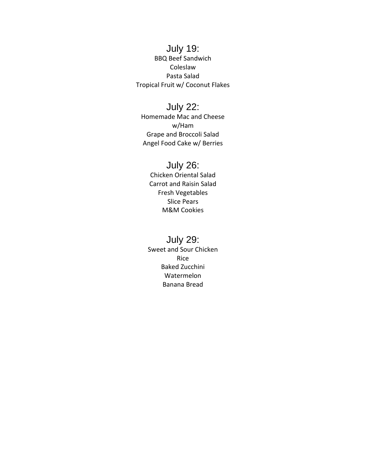#### July 19: BBQ Beef Sandwich Coleslaw Pasta Salad Tropical Fruit w/ Coconut Flakes

# July 22:

Homemade Mac and Cheese w/Ham Grape and Broccoli Salad Angel Food Cake w/ Berries

# July 26:

Chicken Oriental Salad Carrot and Raisin Salad Fresh Vegetables Slice Pears M&M Cookies

### July 29:

Sweet and Sour Chicken Rice Baked Zucchini Watermelon Banana Bread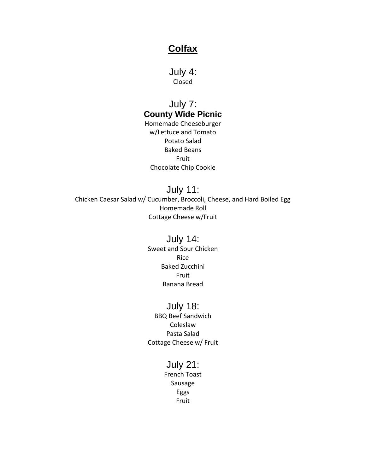### **Colfax**

July 4: Closed

### July 7: **County Wide Picnic**

Homemade Cheeseburger w/Lettuce and Tomato Potato Salad Baked Beans Fruit Chocolate Chip Cookie

July 11: Chicken Caesar Salad w/ Cucumber, Broccoli, Cheese, and Hard Boiled Egg Homemade Roll Cottage Cheese w/Fruit

#### July 14:

Sweet and Sour Chicken Rice Baked Zucchini Fruit Banana Bread

#### July 18:

BBQ Beef Sandwich Coleslaw Pasta Salad Cottage Cheese w/ Fruit

### July 21:

French Toast Sausage Eggs Fruit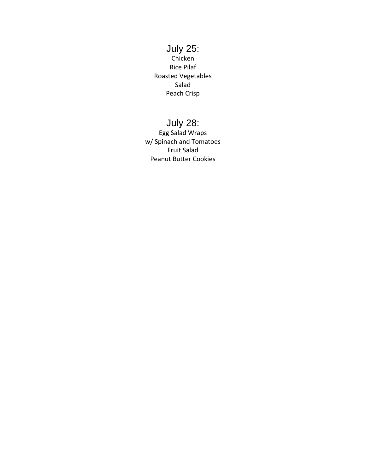#### July 25: Chicken Rice Pilaf Roasted Vegetables Salad Peach Crisp

# July 28:

Egg Salad Wraps w/ Spinach and Tomatoes Fruit Salad Peanut Butter Cookies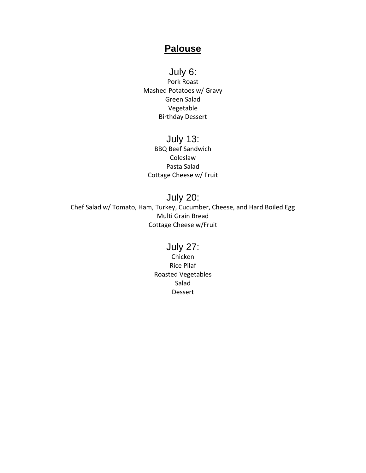### **Palouse**

July 6: Pork Roast Mashed Potatoes w/ Gravy Green Salad Vegetable Birthday Dessert

July 13: BBQ Beef Sandwich Coleslaw Pasta Salad Cottage Cheese w/ Fruit

July 20: Chef Salad w/ Tomato, Ham, Turkey, Cucumber, Cheese, and Hard Boiled Egg Multi Grain Bread Cottage Cheese w/Fruit

### July 27:

Chicken Rice Pilaf Roasted Vegetables Salad Dessert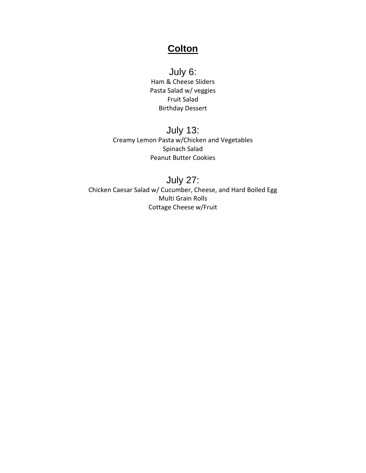### **Colton**

July 6: Ham & Cheese Sliders Pasta Salad w/ veggies Fruit Salad Birthday Dessert

### July 13: Creamy Lemon Pasta w/Chicken and Vegetables Spinach Salad Peanut Butter Cookies

July 27: Chicken Caesar Salad w/ Cucumber, Cheese, and Hard Boiled Egg Multi Grain Rolls Cottage Cheese w/Fruit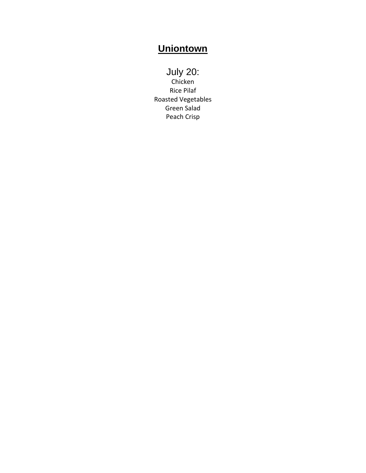# **Uniontown**

July 20: Chicken Rice Pilaf Roasted Vegetables Green Salad Peach Crisp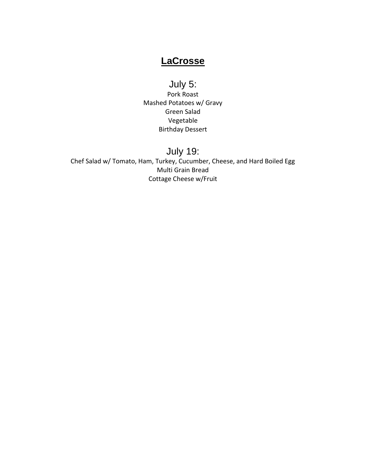# **LaCrosse**

# July 5:

Pork Roast Mashed Potatoes w/ Gravy Green Salad Vegetable Birthday Dessert

# July 19:

Chef Salad w/ Tomato, Ham, Turkey, Cucumber, Cheese, and Hard Boiled Egg Multi Grain Bread Cottage Cheese w/Fruit